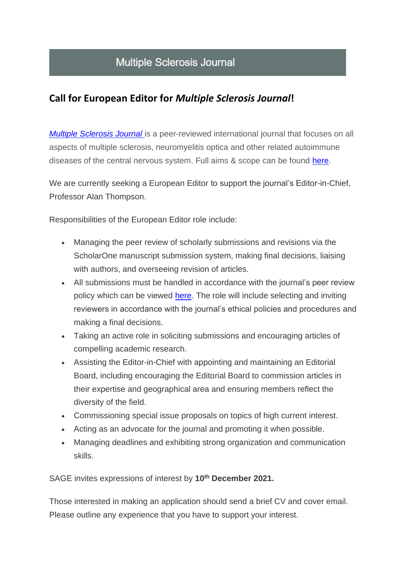## **Multiple Sclerosis Journal**

## **Call for European Editor for** *Multiple Sclerosis Journal***!**

*[Multiple Sclerosis Journal](https://journals.sagepub.com/home/msj)* is a peer-reviewed international journal that focuses on all aspects of multiple sclerosis, neuromyelitis optica and other related autoimmune diseases of the central nervous system. Full aims & scope can be found [here.](https://journals.sagepub.com/aims-scope/MSJ)

We are currently seeking a European Editor to support the journal's Editor-in-Chief, Professor Alan Thompson.

Responsibilities of the European Editor role include:

- Managing the peer review of scholarly submissions and revisions via the ScholarOne manuscript submission system, making final decisions, liaising with authors, and overseeing revision of articles.
- All submissions must be handled in accordance with the journal's peer review policy which can be viewed [here.](https://journals.sagepub.com/author-instructions/MSJ#EditorialPolicies) The role will include selecting and inviting reviewers in accordance with the journal's ethical policies and procedures and making a final decisions.
- Taking an active role in soliciting submissions and encouraging articles of compelling academic research.
- Assisting the Editor-in-Chief with appointing and maintaining an Editorial Board, including encouraging the Editorial Board to commission articles in their expertise and geographical area and ensuring members reflect the diversity of the field.
- Commissioning special issue proposals on topics of high current interest.
- Acting as an advocate for the journal and promoting it when possible.
- Managing deadlines and exhibiting strong organization and communication skills.

SAGE invites expressions of interest by **10th December 2021.**

Those interested in making an application should send a brief CV and cover email. Please outline any experience that you have to support your interest.